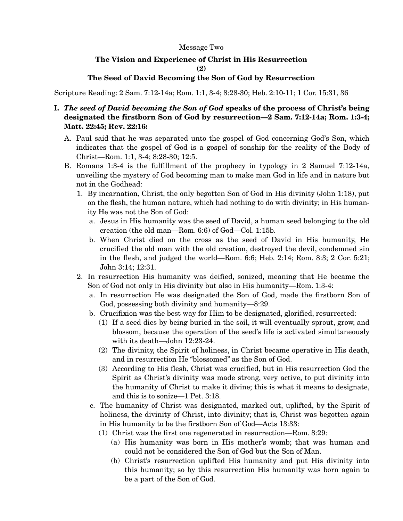## Message Two

## **The Vision and Experience of Christ in His Resurrection**

**(2)** 

## **The Seed of David Becoming the Son of God by Resurrection**

Scripture Reading: 2 Sam. 7:12-14a; Rom. 1:1, 3-4; 8:28-30; Heb. 2:10-11; 1 Cor. 15:31, 36

- **I.** *The seed of David becoming the Son of God* **speaks of the process of Christ's being designated the firstborn Son of God by resurrection—2 Sam. 7:12-14a; Rom. 1:3-4; Matt. 22:45; Rev. 22:16:** 
	- A. Paul said that he was separated unto the gospel of God concerning God's Son, which indicates that the gospel of God is a gospel of sonship for the reality of the Body of Christ—Rom. 1:1, 3-4; 8:28-30; 12:5.
	- B. Romans 1:3-4 is the fulfillment of the prophecy in typology in 2 Samuel 7:12-14a, unveiling the mystery of God becoming man to make man God in life and in nature but not in the Godhead:
		- 1. By incarnation, Christ, the only begotten Son of God in His divinity (John 1:18), put on the flesh, the human nature, which had nothing to do with divinity; in His humanity He was not the Son of God:
			- a. Jesus in His humanity was the seed of David, a human seed belonging to the old creation (the old man—Rom. 6:6) of God—Col. 1:15b.
			- b. When Christ died on the cross as the seed of David in His humanity, He crucified the old man with the old creation, destroyed the devil, condemned sin in the flesh, and judged the world—Rom. 6:6; Heb. 2:14; Rom. 8:3; 2 Cor. 5:21; John 3:14; 12:31.
		- 2. In resurrection His humanity was deified, sonized, meaning that He became the Son of God not only in His divinity but also in His humanity—Rom. 1:3-4:
			- a. In resurrection He was designated the Son of God, made the firstborn Son of God, possessing both divinity and humanity—8:29.
			- b. Crucifixion was the best way for Him to be designated, glorified, resurrected:
				- (1) If a seed dies by being buried in the soil, it will eventually sprout, grow, and blossom, because the operation of the seed's life is activated simultaneously with its death—John 12:23-24.
				- (2) The divinity, the Spirit of holiness, in Christ became operative in His death, and in resurrection He "blossomed" as the Son of God.
				- (3) According to His flesh, Christ was crucified, but in His resurrection God the Spirit as Christ's divinity was made strong, very active, to put divinity into the humanity of Christ to make it divine; this is what it means to designate, and this is to sonize—1 Pet. 3:18.
			- c. The humanity of Christ was designated, marked out, uplifted, by the Spirit of holiness, the divinity of Christ, into divinity; that is, Christ was begotten again in His humanity to be the firstborn Son of God—Acts 13:33:
				- (1) Christ was the first one regenerated in resurrection—Rom. 8:29:
					- (a) His humanity was born in His mother's womb; that was human and could not be considered the Son of God but the Son of Man.
					- (b) Christ's resurrection uplifted His humanity and put His divinity into this humanity; so by this resurrection His humanity was born again to be a part of the Son of God.